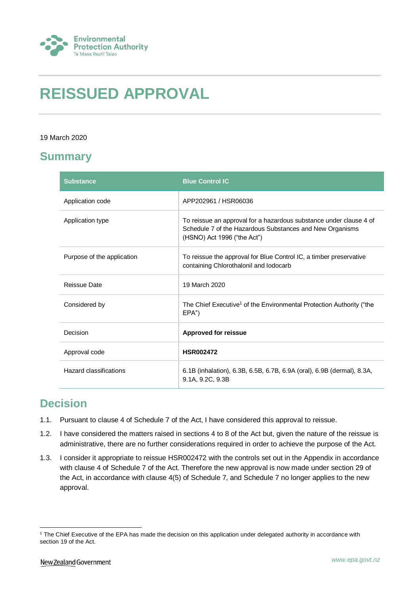

# **REISSUED APPROVAL**

#### 19 March 2020

## **Summary**

| <b>Substance</b>           | <b>Blue Control IC</b>                                                                                                                                        |
|----------------------------|---------------------------------------------------------------------------------------------------------------------------------------------------------------|
| Application code           | APP202961 / HSR06036                                                                                                                                          |
| Application type           | To reissue an approval for a hazardous substance under clause 4 of<br>Schedule 7 of the Hazardous Substances and New Organisms<br>(HSNO) Act 1996 ("the Act") |
| Purpose of the application | To reissue the approval for Blue Control IC, a timber preservative<br>containing Chlorothalonil and lodocarb                                                  |
| Reissue Date               | 19 March 2020                                                                                                                                                 |
| Considered by              | The Chief Executive <sup>1</sup> of the Environmental Protection Authority ("the<br>EPA")                                                                     |
| Decision                   | <b>Approved for reissue</b>                                                                                                                                   |
| Approval code              | <b>HSR002472</b>                                                                                                                                              |
| Hazard classifications     | 6.1B (inhalation), 6.3B, 6.5B, 6.7B, 6.9A (oral), 6.9B (dermal), 8.3A,<br>9.1A, 9.2C, 9.3B                                                                    |

## **Decision**

- 1.1. Pursuant to clause 4 of Schedule 7 of the Act, I have considered this approval to reissue.
- 1.2. I have considered the matters raised in sections 4 to 8 of the Act but, given the nature of the reissue is administrative, there are no further considerations required in order to achieve the purpose of the Act.
- 1.3. I consider it appropriate to reissue HSR002472 with the controls set out in the Appendix in accordance with clause 4 of Schedule 7 of the Act. Therefore the new approval is now made under section 29 of the Act, in accordance with clause 4(5) of Schedule 7, and Schedule 7 no longer applies to the new approval.

<sup>1</sup> <sup>1</sup> The Chief Executive of the EPA has made the decision on this application under delegated authority in accordance with section 19 of the Act.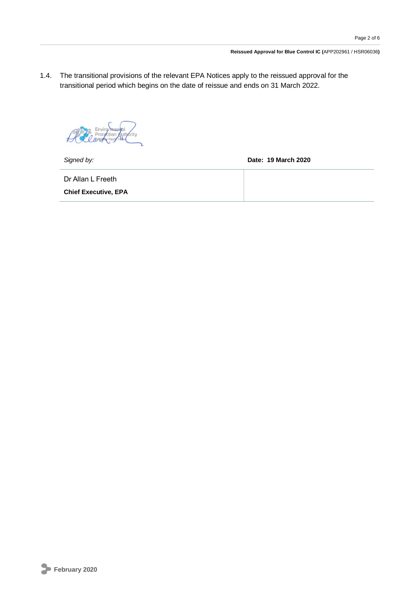1.4. The transitional provisions of the relevant EPA Notices apply to the reissued approval for the transitional period which begins on the date of reissue and ends on 31 March 2022.

*Signed by:* **Date: 19 March 2020**

Dr Allan L Freeth

**Chief Executive, EPA**

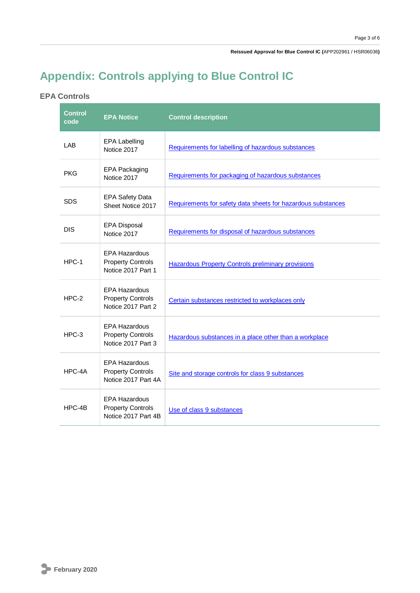**Reissued Approval for Blue Control IC (**APP202961 / HSR06036**)**

# **Appendix: Controls applying to Blue Control IC**

### **EPA Controls**

| <b>Control</b><br>code | <b>EPA Notice</b>                                                       | <b>Control description</b>                                   |
|------------------------|-------------------------------------------------------------------------|--------------------------------------------------------------|
| LAB                    | <b>EPA Labelling</b><br>Notice 2017                                     | Requirements for labelling of hazardous substances           |
| <b>PKG</b>             | <b>EPA Packaging</b><br>Notice 2017                                     | Requirements for packaging of hazardous substances           |
| <b>SDS</b>             | <b>EPA Safety Data</b><br>Sheet Notice 2017                             | Requirements for safety data sheets for hazardous substances |
| <b>DIS</b>             | <b>EPA Disposal</b><br>Notice 2017                                      | Requirements for disposal of hazardous substances            |
| HPC-1                  | <b>EPA Hazardous</b><br><b>Property Controls</b><br>Notice 2017 Part 1  | <b>Hazardous Property Controls preliminary provisions</b>    |
| $HPC-2$                | <b>EPA Hazardous</b><br><b>Property Controls</b><br>Notice 2017 Part 2  | Certain substances restricted to workplaces only             |
| $HPC-3$                | <b>EPA Hazardous</b><br><b>Property Controls</b><br>Notice 2017 Part 3  | Hazardous substances in a place other than a workplace       |
| HPC-4A                 | <b>EPA Hazardous</b><br><b>Property Controls</b><br>Notice 2017 Part 4A | Site and storage controls for class 9 substances             |
| HPC-4B                 | <b>EPA Hazardous</b><br><b>Property Controls</b><br>Notice 2017 Part 4B | Use of class 9 substances                                    |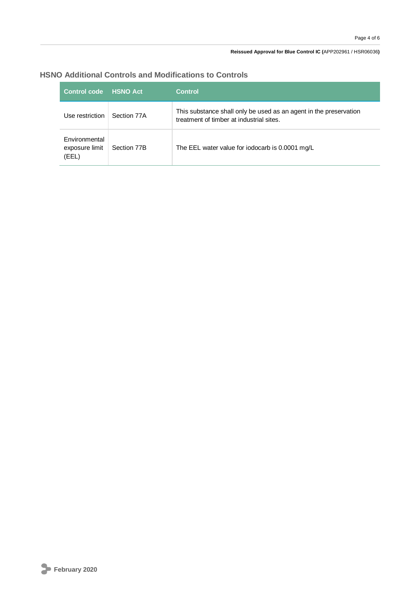#### **Reissued Approval for Blue Control IC (**APP202961 / HSR06036**)**

| <b>Control code</b>                      | <b>HSNO Act</b> | Control                                                                                                       |
|------------------------------------------|-----------------|---------------------------------------------------------------------------------------------------------------|
| Use restriction                          | Section 77A     | This substance shall only be used as an agent in the preservation<br>treatment of timber at industrial sites. |
| Environmental<br>exposure limit<br>(EEL) | Section 77B     | The EEL water value for iodocarb is 0.0001 mg/L                                                               |

### **HSNO Additional Controls and Modifications to Controls**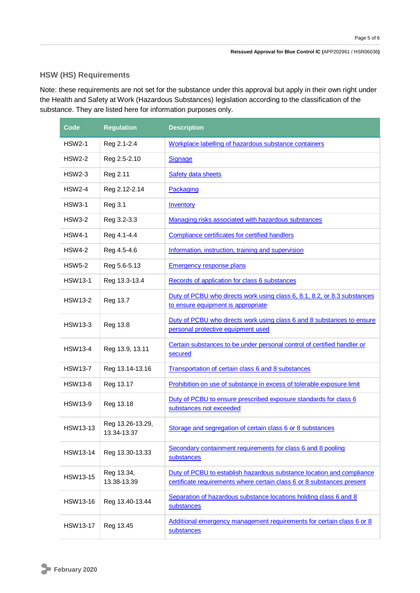#### **HSW (HS) Requirements**

Note: these requirements are not set for the substance under this approval but apply in their own right under the Health and Safety at Work (Hazardous Substances) legislation according to the classification of the substance. They are listed here for information purposes only.

| Code            | <b>Regulation</b>               | <b>Description</b>                                                                                                                              |
|-----------------|---------------------------------|-------------------------------------------------------------------------------------------------------------------------------------------------|
| <b>HSW2-1</b>   | Reg 2.1-2.4                     | Workplace labelling of hazardous substance containers                                                                                           |
| <b>HSW2-2</b>   | Reg 2.5-2.10                    | Signage                                                                                                                                         |
| <b>HSW2-3</b>   | Reg 2.11                        | <b>Safety data sheets</b>                                                                                                                       |
| <b>HSW2-4</b>   | Reg 2.12-2.14                   | Packaging                                                                                                                                       |
| <b>HSW3-1</b>   | <b>Reg 3.1</b>                  | Inventory                                                                                                                                       |
| <b>HSW3-2</b>   | Reg 3.2-3.3                     | Managing risks associated with hazardous substances                                                                                             |
| <b>HSW4-1</b>   | Reg 4.1-4.4                     | Compliance certificates for certified handlers                                                                                                  |
| <b>HSW4-2</b>   | Reg 4.5-4.6                     | Information, instruction, training and supervision                                                                                              |
| <b>HSW5-2</b>   | Reg 5.6-5.13                    | <b>Emergency response plans</b>                                                                                                                 |
| <b>HSW13-1</b>  | Reg 13.3-13.4                   | Records of application for class 6 substances                                                                                                   |
| <b>HSW13-2</b>  | Reg 13.7                        | Duty of PCBU who directs work using class 6, 8.1, 8.2, or 8.3 substances<br>to ensure equipment is appropriate                                  |
| <b>HSW13-3</b>  | Reg 13.8                        | Duty of PCBU who directs work using class 6 and 8 substances to ensure<br>personal protective equipment used                                    |
| <b>HSW13-4</b>  | Reg 13.9, 13.11                 | Certain substances to be under personal control of certified handler or<br>secured                                                              |
| <b>HSW13-7</b>  | Reg 13.14-13.16                 | Transportation of certain class 6 and 8 substances                                                                                              |
| <b>HSW13-8</b>  | Reg 13.17                       | Prohibition on use of substance in excess of tolerable exposure limit                                                                           |
| <b>HSW13-9</b>  | Reg 13.18                       | Duty of PCBU to ensure prescribed exposure standards for class 6<br>substances not exceeded                                                     |
| <b>HSW13-13</b> | Reg 13.26-13.29,<br>13.34-13.37 | Storage and segregation of certain class 6 or 8 substances                                                                                      |
| HSW13-14        | Reg 13.30-13.33                 | Secondary containment requirements for class 6 and 8 pooling<br>substances                                                                      |
| <b>HSW13-15</b> | Reg 13.34,<br>13.38-13.39       | Duty of PCBU to establish hazardous substance location and compliance<br>certificate requirements where certain class 6 or 8 substances present |
| HSW13-16        | Reg 13.40-13.44                 | Separation of hazardous substance locations holding class 6 and 8<br>substances                                                                 |
| <b>HSW13-17</b> | Reg 13.45                       | Additional emergency management requirements for certain class 6 or 8<br>substances                                                             |